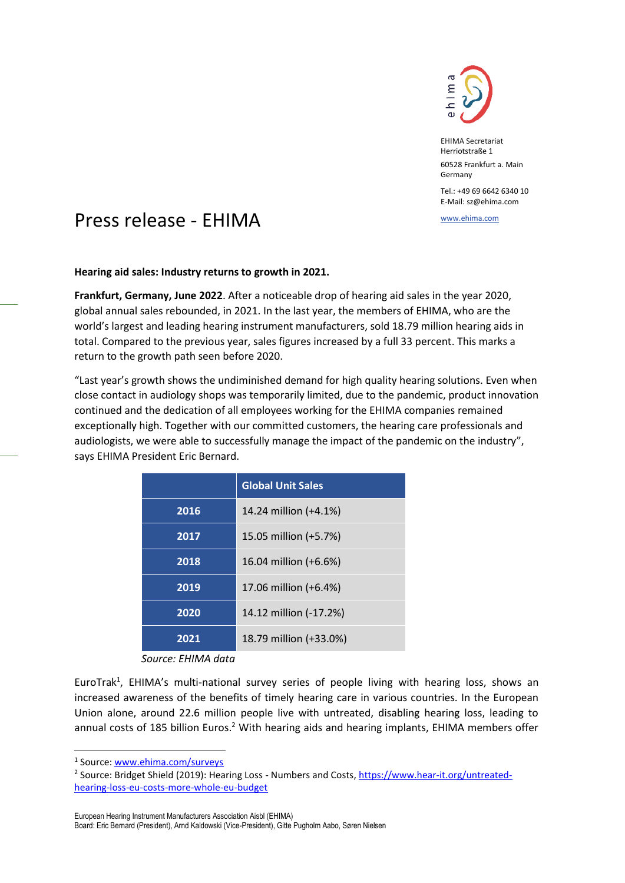

EHIMA Secretariat Herriotstraße 1 60528 Frankfurt a. Main Germany

Tel.: +49 69 6642 6340 10 E-Mail: sz@ehima.com

## www.ehima.com Press release - EHIMA

**Hearing aid sales: Industry returns to growth in 2021.**

**Frankfurt, Germany, June 2022**. After a noticeable drop of hearing aid sales in the year 2020, global annual sales rebounded, in 2021. In the last year, the members of EHIMA, who are the world's largest and leading hearing instrument manufacturers, sold 18.79 million hearing aids in total. Compared to the previous year, sales figures increased by a full 33 percent. This marks a return to the growth path seen before 2020.

"Last year's growth shows the undiminished demand for high quality hearing solutions. Even when close contact in audiology shops was temporarily limited, due to the pandemic, product innovation continued and the dedication of all employees working for the EHIMA companies remained exceptionally high. Together with our committed customers, the hearing care professionals and audiologists, we were able to successfully manage the impact of the pandemic on the industry", says EHIMA President Eric Bernard.

|      | <b>Global Unit Sales</b> |
|------|--------------------------|
| 2016 | 14.24 million (+4.1%)    |
| 2017 | 15.05 million (+5.7%)    |
| 2018 | 16.04 million (+6.6%)    |
| 2019 | 17.06 million (+6.4%)    |
| 2020 | 14.12 million (-17.2%)   |
| 2021 | 18.79 million (+33.0%)   |

*Source: EHIMA data*

EuroTrak<sup>1</sup>, EHIMA's multi-national survey series of people living with hearing loss, shows an increased awareness of the benefits of timely hearing care in various countries. In the European Union alone, around 22.6 million people live with untreated, disabling hearing loss, leading to annual costs of 185 billion Euros.<sup>2</sup> With hearing aids and hearing implants, EHIMA members offer

European Hearing Instrument Manufacturers Association Aisbl (EHIMA)

<sup>&</sup>lt;sup>1</sup> Source: <u>www.ehima.com/surveys</u>

<sup>&</sup>lt;sup>2</sup> Source: Bridget Shield (2019): Hearing Loss - Numbers and Costs, <u>https://www.hear-it.org/untreated-</u> [hearing-loss-eu-costs-more-whole-eu-budget](https://www.hear-it.org/untreated-hearing-loss-eu-costs-more-whole-eu-budget)

Board: Eric Bernard (President), Arnd Kaldowski (Vice-President), Gitte Pugholm Aabo, Søren Nielsen